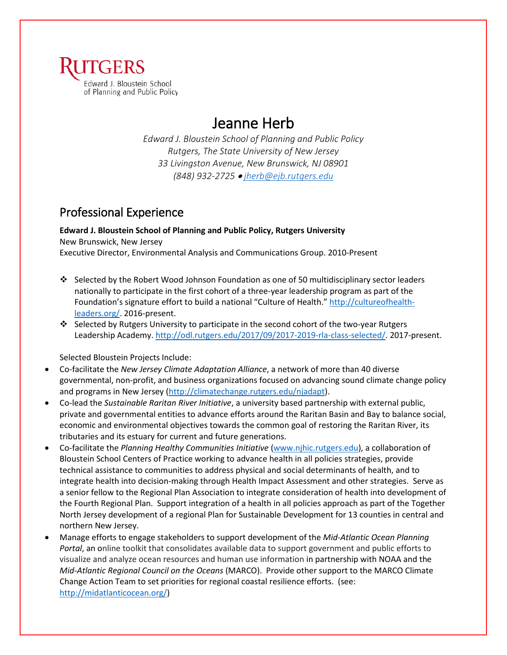

# Jeanne Herb

*Edward J. Bloustein School of Planning and Public Policy Rutgers, The State University of New Jersey 33 Livingston Avenue, New Brunswick, NJ 08901 (848) 932-2725* • *jherb@ejb.rutgers.edu*

# Professional Experience

**Edward J. Bloustein School of Planning and Public Policy, Rutgers University** New Brunswick, New Jersey

Executive Director, Environmental Analysis and Communications Group. 2010-Present

- Selected by the Robert Wood Johnson Foundation as one of 50 multidisciplinary sector leaders nationally to participate in the first cohort of a three-year leadership program as part of the Foundation's signature effort to build a national "Culture of Health." [http://cultureofhealth](http://cultureofhealth-leaders.org/)[leaders.org/.](http://cultureofhealth-leaders.org/) 2016-present.
- $\cdot$  Selected by Rutgers University to participate in the second cohort of the two-year Rutgers Leadership Academy. [http://odl.rutgers.edu/2017/09/2017-2019-rla-class-selected/.](http://odl.rutgers.edu/2017/09/2017-2019-rla-class-selected/) 2017-present.

Selected Bloustein Projects Include:

- Co-facilitate the *New Jersey Climate Adaptation Alliance*, a network of more than 40 diverse governmental, non-profit, and business organizations focused on advancing sound climate change policy and programs in New Jersey [\(http://climatechange.rutgers.edu/njadapt\)](http://climatechange.rutgers.edu/njadapt).
- Co-lead the *Sustainable Raritan River Initiative*, a university based partnership with external public, private and governmental entities to advance efforts around the Raritan Basin and Bay to balance social, economic and environmental objectives towards the common goal of restoring the Raritan River, its tributaries and its estuary for current and future generations.
- Co-facilitate the *Planning Healthy Communities Initiative* [\(www.njhic.rutgers.edu\)](http://www.njhic.rutgers.edu/), a collaboration of Bloustein School Centers of Practice working to advance health in all policies strategies, provide technical assistance to communities to address physical and social determinants of health, and to integrate health into decision-making through Health Impact Assessment and other strategies. Serve as a senior fellow to the Regional Plan Association to integrate consideration of health into development of the Fourth Regional Plan. Support integration of a health in all policies approach as part of the Together North Jersey development of a regional Plan for Sustainable Development for 13 counties in central and northern New Jersey.
- Manage efforts to engage stakeholders to support development of the *Mid-Atlantic Ocean Planning Portal*, an online toolkit that consolidates available data to support government and public efforts to visualize and analyze ocean resources and human use information in partnership with NOAA and the *Mid-Atlantic Regional Council on the Oceans* (MARCO). Provide other support to the MARCO Climate Change Action Team to set priorities for regional coastal resilience efforts. (see: [http://midatlanticocean.org/\)](http://midatlanticocean.org/)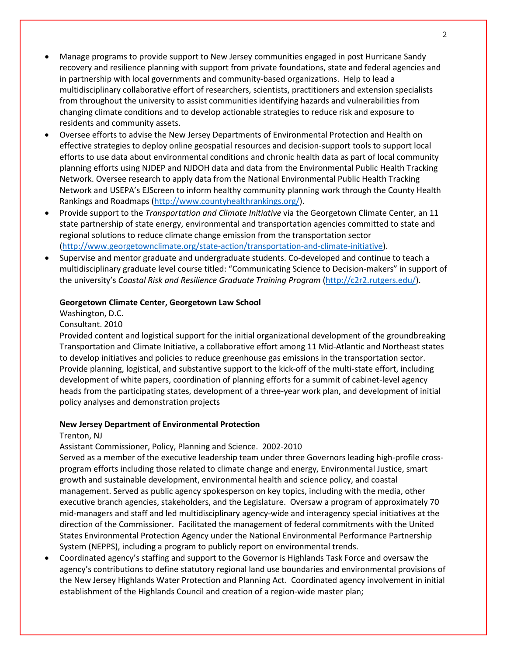- Manage programs to provide support to New Jersey communities engaged in post Hurricane Sandy recovery and resilience planning with support from private foundations, state and federal agencies and in partnership with local governments and community-based organizations. Help to lead a multidisciplinary collaborative effort of researchers, scientists, practitioners and extension specialists from throughout the university to assist communities identifying hazards and vulnerabilities from changing climate conditions and to develop actionable strategies to reduce risk and exposure to residents and community assets.
- Oversee efforts to advise the New Jersey Departments of Environmental Protection and Health on effective strategies to deploy online geospatial resources and decision-support tools to support local efforts to use data about environmental conditions and chronic health data as part of local community planning efforts using NJDEP and NJDOH data and data from the Environmental Public Health Tracking Network. Oversee research to apply data from the National Environmental Public Health Tracking Network and USEPA's EJScreen to inform healthy community planning work through the County Health Rankings and Roadmaps [\(http://www.countyhealthrankings.org/\)](http://www.countyhealthrankings.org/).
- Provide support to the *Transportation and Climate Initiative* via the Georgetown Climate Center, an 11 state partnership of state energy, environmental and transportation agencies committed to state and regional solutions to reduce climate change emission from the transportation sector [\(http://www.georgetownclimate.org/state-action/transportation-and-climate-initiative\)](http://www.georgetownclimate.org/state-action/transportation-and-climate-initiative).
- Supervise and mentor graduate and undergraduate students. Co-developed and continue to teach a multidisciplinary graduate level course titled: "Communicating Science to Decision-makers" in support of the university's *Coastal Risk and Resilience Graduate Training Program* [\(http://c2r2.rutgers.edu/\)](http://c2r2.rutgers.edu/).

### **Georgetown Climate Center, Georgetown Law School**

Washington, D.C.

Consultant. 2010

Provided content and logistical support for the initial organizational development of the groundbreaking Transportation and Climate Initiative, a collaborative effort among 11 Mid-Atlantic and Northeast states to develop initiatives and policies to reduce greenhouse gas emissions in the transportation sector. Provide planning, logistical, and substantive support to the kick-off of the multi-state effort, including development of white papers, coordination of planning efforts for a summit of cabinet-level agency heads from the participating states, development of a three-year work plan, and development of initial policy analyses and demonstration projects

#### **New Jersey Department of Environmental Protection**

#### Trenton, NJ

Assistant Commissioner, Policy, Planning and Science. 2002-2010

Served as a member of the executive leadership team under three Governors leading high-profile crossprogram efforts including those related to climate change and energy, Environmental Justice, smart growth and sustainable development, environmental health and science policy, and coastal management. Served as public agency spokesperson on key topics, including with the media, other executive branch agencies, stakeholders, and the Legislature. Oversaw a program of approximately 70 mid-managers and staff and led multidisciplinary agency-wide and interagency special initiatives at the direction of the Commissioner. Facilitated the management of federal commitments with the United States Environmental Protection Agency under the National Environmental Performance Partnership System (NEPPS), including a program to publicly report on environmental trends.

• Coordinated agency's staffing and support to the Governor is Highlands Task Force and oversaw the agency's contributions to define statutory regional land use boundaries and environmental provisions of the New Jersey Highlands Water Protection and Planning Act. Coordinated agency involvement in initial establishment of the Highlands Council and creation of a region-wide master plan;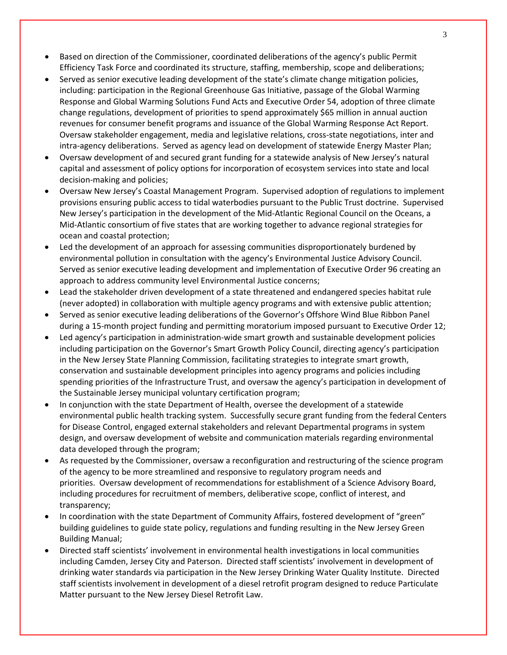- Based on direction of the Commissioner, coordinated deliberations of the agency's public Permit Efficiency Task Force and coordinated its structure, staffing, membership, scope and deliberations;
- Served as senior executive leading development of the state's climate change mitigation policies, including: participation in the Regional Greenhouse Gas Initiative, passage of the Global Warming Response and Global Warming Solutions Fund Acts and Executive Order 54, adoption of three climate change regulations, development of priorities to spend approximately \$65 million in annual auction revenues for consumer benefit programs and issuance of the Global Warming Response Act Report. Oversaw stakeholder engagement, media and legislative relations, cross-state negotiations, inter and intra-agency deliberations. Served as agency lead on development of statewide Energy Master Plan;
- Oversaw development of and secured grant funding for a statewide analysis of New Jersey's natural capital and assessment of policy options for incorporation of ecosystem services into state and local decision-making and policies;
- Oversaw New Jersey's Coastal Management Program. Supervised adoption of regulations to implement provisions ensuring public access to tidal waterbodies pursuant to the Public Trust doctrine. Supervised New Jersey's participation in the development of the Mid-Atlantic Regional Council on the Oceans, a Mid-Atlantic consortium of five states that are working together to advance regional strategies for ocean and coastal protection;
- Led the development of an approach for assessing communities disproportionately burdened by environmental pollution in consultation with the agency's Environmental Justice Advisory Council. Served as senior executive leading development and implementation of Executive Order 96 creating an approach to address community level Environmental Justice concerns;
- Lead the stakeholder driven development of a state threatened and endangered species habitat rule (never adopted) in collaboration with multiple agency programs and with extensive public attention;
- Served as senior executive leading deliberations of the Governor's Offshore Wind Blue Ribbon Panel during a 15-month project funding and permitting moratorium imposed pursuant to Executive Order 12;
- Led agency's participation in administration-wide smart growth and sustainable development policies including participation on the Governor's Smart Growth Policy Council, directing agency's participation in the New Jersey State Planning Commission, facilitating strategies to integrate smart growth, conservation and sustainable development principles into agency programs and policies including spending priorities of the Infrastructure Trust, and oversaw the agency's participation in development of the Sustainable Jersey municipal voluntary certification program;
- In conjunction with the state Department of Health, oversee the development of a statewide environmental public health tracking system. Successfully secure grant funding from the federal Centers for Disease Control, engaged external stakeholders and relevant Departmental programs in system design, and oversaw development of website and communication materials regarding environmental data developed through the program;
- As requested by the Commissioner, oversaw a reconfiguration and restructuring of the science program of the agency to be more streamlined and responsive to regulatory program needs and priorities. Oversaw development of recommendations for establishment of a Science Advisory Board, including procedures for recruitment of members, deliberative scope, conflict of interest, and transparency;
- In coordination with the state Department of Community Affairs, fostered development of "green" building guidelines to guide state policy, regulations and funding resulting in the New Jersey Green Building Manual;
- Directed staff scientists' involvement in environmental health investigations in local communities including Camden, Jersey City and Paterson. Directed staff scientists' involvement in development of drinking water standards via participation in the New Jersey Drinking Water Quality Institute. Directed staff scientists involvement in development of a diesel retrofit program designed to reduce Particulate Matter pursuant to the New Jersey Diesel Retrofit Law.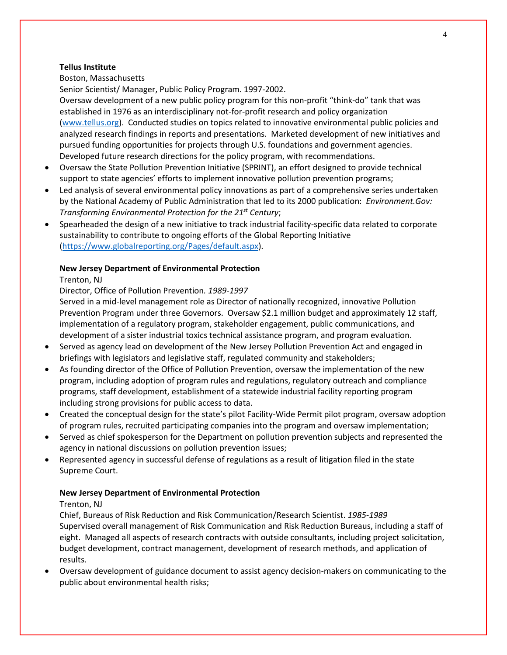#### **Tellus Institute**

Boston, Massachusetts

Senior Scientist/ Manager, Public Policy Program. 1997-2002.

Oversaw development of a new public policy program for this non-profit "think-do" tank that was established in 1976 as an interdisciplinary not-for-profit research and policy organization [\(www.tellus.org\)](http://www.tellus.org/). Conducted studies on topics related to innovative environmental public policies and analyzed research findings in reports and presentations. Marketed development of new initiatives and pursued funding opportunities for projects through U.S. foundations and government agencies. Developed future research directions for the policy program, with recommendations.

- Oversaw the State Pollution Prevention Initiative (SPRINT), an effort designed to provide technical support to state agencies' efforts to implement innovative pollution prevention programs;
- Led analysis of several environmental policy innovations as part of a comprehensive series undertaken by the National Academy of Public Administration that led to its 2000 publication: *Environment.Gov: Transforming Environmental Protection for the 21st Century*;
- Spearheaded the design of a new initiative to track industrial facility-specific data related to corporate sustainability to contribute to ongoing efforts of the Global Reporting Initiative [\(https://www.globalreporting.org/Pages/default.aspx\)](https://www.globalreporting.org/Pages/default.aspx).

### **New Jersey Department of Environmental Protection**

Trenton, NJ

Director, Office of Pollution Prevention*. 1989-1997*

Served in a mid-level management role as Director of nationally recognized, innovative Pollution Prevention Program under three Governors. Oversaw \$2.1 million budget and approximately 12 staff, implementation of a regulatory program, stakeholder engagement, public communications, and development of a sister industrial toxics technical assistance program, and program evaluation.

- Served as agency lead on development of the New Jersey Pollution Prevention Act and engaged in briefings with legislators and legislative staff, regulated community and stakeholders;
- As founding director of the Office of Pollution Prevention, oversaw the implementation of the new program, including adoption of program rules and regulations, regulatory outreach and compliance programs, staff development, establishment of a statewide industrial facility reporting program including strong provisions for public access to data.
- Created the conceptual design for the state's pilot Facility-Wide Permit pilot program, oversaw adoption of program rules, recruited participating companies into the program and oversaw implementation;
- Served as chief spokesperson for the Department on pollution prevention subjects and represented the agency in national discussions on pollution prevention issues;
- Represented agency in successful defense of regulations as a result of litigation filed in the state Supreme Court.

### **New Jersey Department of Environmental Protection**

#### Trenton, NJ

Chief, Bureaus of Risk Reduction and Risk Communication/Research Scientist. *1985-1989* Supervised overall management of Risk Communication and Risk Reduction Bureaus, including a staff of eight. Managed all aspects of research contracts with outside consultants, including project solicitation, budget development, contract management, development of research methods, and application of results.

• Oversaw development of guidance document to assist agency decision-makers on communicating to the public about environmental health risks;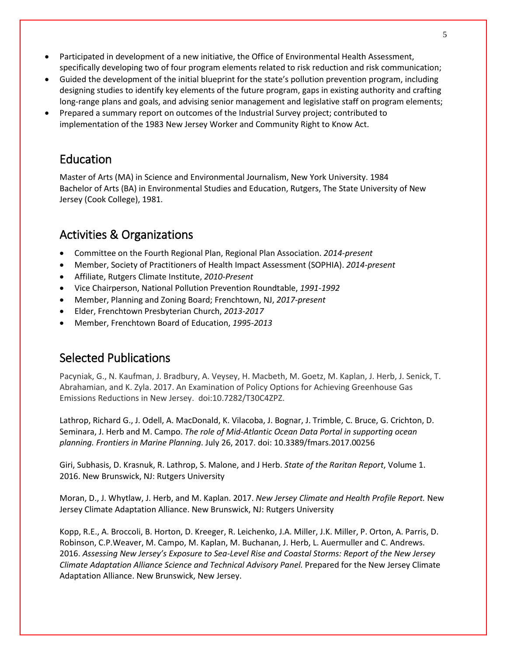- Participated in development of a new initiative, the Office of Environmental Health Assessment, specifically developing two of four program elements related to risk reduction and risk communication;
- Guided the development of the initial blueprint for the state's pollution prevention program, including designing studies to identify key elements of the future program, gaps in existing authority and crafting long-range plans and goals, and advising senior management and legislative staff on program elements;
- Prepared a summary report on outcomes of the Industrial Survey project; contributed to implementation of the 1983 New Jersey Worker and Community Right to Know Act.

### Education

Master of Arts (MA) in Science and Environmental Journalism, New York University. 1984 Bachelor of Arts (BA) in Environmental Studies and Education, Rutgers, The State University of New Jersey (Cook College), 1981.

# Activities & Organizations

- Committee on the Fourth Regional Plan, Regional Plan Association. *2014-present*
- Member, Society of Practitioners of Health Impact Assessment (SOPHIA). *2014-present*
- Affiliate, Rutgers Climate Institute, *2010-Present*
- Vice Chairperson, National Pollution Prevention Roundtable, *1991-1992*
- Member, Planning and Zoning Board; Frenchtown, NJ, *2017-present*
- Elder, Frenchtown Presbyterian Church, *2013-2017*
- Member, Frenchtown Board of Education, *1995-2013*

# Selected Publications

Pacyniak, G., N. Kaufman, J. Bradbury, A. Veysey, H. Macbeth, M. Goetz, M. Kaplan, J. Herb, J. Senick, T. Abrahamian, and K. Zyla. 2017. An Examination of Policy Options for Achieving Greenhouse Gas Emissions Reductions in New Jersey. doi:10.7282/T30C4ZPZ.

Lathrop, Richard G., J. Odell, A. MacDonald, K. Vilacoba, J. Bognar, J. Trimble, C. Bruce, G. Crichton, D. Seminara, J. Herb and M. Campo. *The role of Mid-Atlantic Ocean Data Portal in supporting ocean planning. Frontiers in Marine Planning*. July 26, 2017. doi: 10.3389/fmars.2017.00256

Giri, Subhasis, D. Krasnuk, R. Lathrop, S. Malone, and J Herb. *State of the Raritan Report*, Volume 1. 2016. New Brunswick, NJ: Rutgers University

Moran, D., J. Whytlaw, J. Herb, and M. Kaplan. 2017. *New Jersey Climate and Health Profile Report.* New Jersey Climate Adaptation Alliance. New Brunswick, NJ: Rutgers University

Kopp, R.E., A. Broccoli, B. Horton, D. Kreeger, R. Leichenko, J.A. Miller, J.K. Miller, P. Orton, A. Parris, D. Robinson, C.P.Weaver, M. Campo, M. Kaplan, M. Buchanan, J. Herb, L. Auermuller and C. Andrews. 2016. *Assessing New Jersey's Exposure to Sea-Level Rise and Coastal Storms: Report of the New Jersey Climate Adaptation Alliance Science and Technical Advisory Panel.* Prepared for the New Jersey Climate Adaptation Alliance. New Brunswick, New Jersey.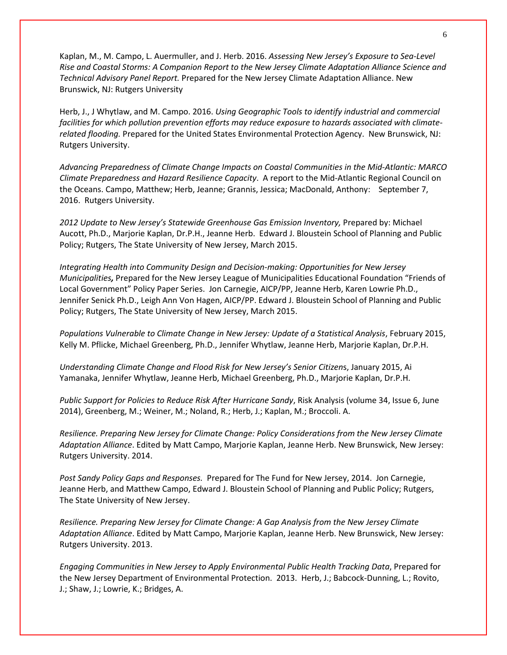Kaplan, M., M. Campo, L. Auermuller, and J. Herb. 2016. *Assessing New Jersey's Exposure to Sea-Level Rise and Coastal Storms: A Companion Report to the New Jersey Climate Adaptation Alliance Science and Technical Advisory Panel Report.* Prepared for the New Jersey Climate Adaptation Alliance. New Brunswick, NJ: Rutgers University

Herb, J., J Whytlaw, and M. Campo. 2016. *Using Geographic Tools to identify industrial and commercial facilities for which pollution prevention efforts may reduce exposure to hazards associated with climaterelated flooding.* Prepared for the United States Environmental Protection Agency. New Brunswick, NJ: Rutgers University.

*Advancing Preparedness of Climate Change Impacts on Coastal Communities in the Mid-Atlantic: MARCO Climate Preparedness and Hazard Resilience Capacity*. A report to the Mid-Atlantic Regional Council on the Oceans. Campo, Matthew; Herb, Jeanne; Grannis, Jessica; MacDonald, Anthony: September 7, 2016. Rutgers University.

*2012 Update to New Jersey's Statewide Greenhouse Gas Emission Inventory,* Prepared by: Michael Aucott, Ph.D., Marjorie Kaplan, Dr.P.H., Jeanne Herb. Edward J. Bloustein School of Planning and Public Policy; Rutgers, The State University of New Jersey, March 2015.

*Integrating Health into Community Design and Decision-making: Opportunities for New Jersey Municipalities,* Prepared for the New Jersey League of Municipalities Educational Foundation "Friends of Local Government" Policy Paper Series.Jon Carnegie, AICP/PP, Jeanne Herb, Karen Lowrie Ph.D., Jennifer Senick Ph.D., Leigh Ann Von Hagen, AICP/PP. Edward J. Bloustein School of Planning and Public Policy; Rutgers, The State University of New Jersey, March 2015.

*Populations Vulnerable to Climate Change in New Jersey: Update of a Statistical Analysis*, February 2015, Kelly M. Pflicke, Michael Greenberg, Ph.D., Jennifer Whytlaw, Jeanne Herb, Marjorie Kaplan, Dr.P.H.

*Understanding Climate Change and Flood Risk for New Jersey's Senior Citizen*s, January 2015, Ai Yamanaka, Jennifer Whytlaw, Jeanne Herb, Michael Greenberg, Ph.D., Marjorie Kaplan, Dr.P.H.

*Public Support for Policies to Reduce Risk After Hurricane Sandy*, Risk Analysis (volume 34, Issue 6, June 2014), Greenberg, M.; Weiner, M.; Noland, R.; Herb, J.; Kaplan, M.; Broccoli. A.

*Resilience. Preparing New Jersey for Climate Change: Policy Considerations from the New Jersey Climate Adaptation Alliance*. Edited by Matt Campo, Marjorie Kaplan, Jeanne Herb. New Brunswick, New Jersey: Rutgers University. 2014.

*Post Sandy Policy Gaps and Responses.* Prepared for The Fund for New Jersey, 2014. Jon Carnegie, Jeanne Herb, and Matthew Campo, Edward J. Bloustein School of Planning and Public Policy; Rutgers, The State University of New Jersey.

*Resilience. Preparing New Jersey for Climate Change: A Gap Analysis from the New Jersey Climate Adaptation Alliance*. Edited by Matt Campo, Marjorie Kaplan, Jeanne Herb. New Brunswick, New Jersey: Rutgers University. 2013.

*Engaging Communities in New Jersey to Apply Environmental Public Health Tracking Data*, Prepared for the New Jersey Department of Environmental Protection. 2013. Herb, J.; Babcock-Dunning, L.; Rovito, J.; Shaw, J.; Lowrie, K.; Bridges, A.